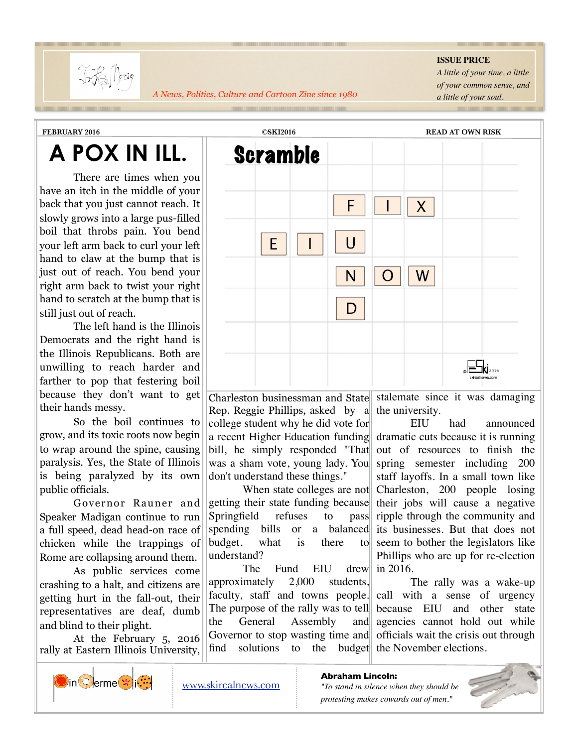

*A News, Politics, Culture and Cartoon Zine since 1980*

## **ISSUE PRICE**

*A little of your time, a little of your common sense, and a little of your soul.* <u> 1999 - Andrea Andrewski, američki politik († 1958)</u>

<u> 1999 - James Andrews, Amerikaansk filozof, fransk filozof, francusk filozof, frans</u>

<u> International American Composition (International International International International International Inte</u>

## **A POX IN ILL.**

 There are times when you have an itch in the middle of your back that you just cannot reach. It slowly grows into a large pus-filled boil that throbs pain. You bend your left arm back to curl your left hand to claw at the bump that is just out of reach. You bend your right arm back to twist your right hand to scratch at the bump that is still just out of reach.

 The left hand is the Illinois Democrats and the right hand is the Illinois Republicans. Both are unwilling to reach harder and farther to pop that festering boil because they don't want to get their hands messy.

 So the boil continues to grow, and its toxic roots now begin to wrap around the spine, causing paralysis. Yes, the State of Illinois is being paralyzed by its own public officials.

 Governor Rauner and Speaker Madigan continue to run a full speed, dead head-on race of chicken while the trappings of Rome are collapsing around them.

 As public services come crashing to a halt, and citizens are getting hurt in the fall-out, their representatives are deaf, dumb and blind to their plight.

 At the February 5, 2016 rally at Eastern Illinois University,



Charleston businessman and State Rep. Reggie Phillips, asked by a college student why he did vote for a recent Higher Education funding bill, he simply responded "That was a sham vote, young lady. You don't understand these things."

When state colleges are not getting their state funding because Springfield refuses to pass spending bills or a balanced budget, what is there to understand?

The Fund EIU drew approximately 2,000 students, faculty, staff and towns people. The purpose of the rally was to tell the General Assembly and Governor to stop wasting time and find solutions to the budget

stalemate since it was damaging the university.

EIU had announced dramatic cuts because it is running out of resources to finish the spring semester including 200 staff layoffs. In a small town like Charleston, 200 people losing their jobs will cause a negative ripple through the community and its businesses. But that does not seem to bother the legislators like Phillips who are up for re-election in 2016.

The rally was a wake-up call with a sense of urgency because EIU and other state agencies cannot hold out while officials wait the crisis out through the November elections.



**Abraham Lincoln:**

*"To stand in silence when they should be protesting makes cowards out of men."*